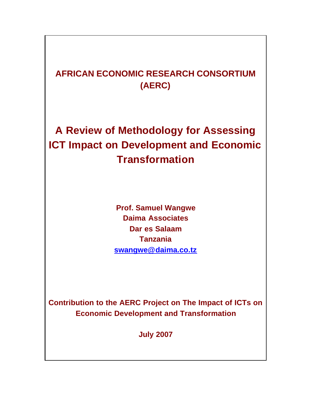# **AFRICAN ECONOMIC RESEARCH CONSORTIUM (AERC)**

# **A Review of Methodology for Assessing ICT Impact on Development and Economic Transformation**

**Prof. Samuel Wangwe Daima Associates Dar es Salaam Tanzania swangwe@daima.co.tz**

**Contribution to the AERC Project on The Impact of ICTs on Economic Development and Transformation**

**July 2007**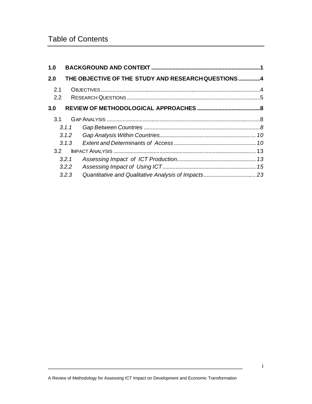# Table of Contents

| 1.0              |       |                                                     |  |
|------------------|-------|-----------------------------------------------------|--|
| 2.0              |       | THE OBJECTIVE OF THE STUDY AND RESEARCH QUESTIONS 4 |  |
| 2.1<br>2.2       |       |                                                     |  |
| 3.0              |       |                                                     |  |
| 3.1              |       |                                                     |  |
|                  | 3.1.1 |                                                     |  |
|                  | 3.1.2 |                                                     |  |
|                  | 3.1.3 |                                                     |  |
| 3.2 <sub>1</sub> |       |                                                     |  |
|                  | 3.2.1 |                                                     |  |
|                  | 3.2.2 |                                                     |  |
|                  | 3.2.3 |                                                     |  |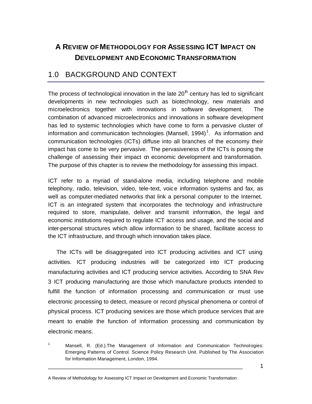# **A REVIEW OF METHODOLOGY FOR ASSESSING ICT IMPACT ON DEVELOPMENT AND ECONOMIC TRANSFORMATION**

## 1.0 BACKGROUND AND CONTEXT

The process of technological innovation in the late  $20<sup>th</sup>$  century has led to significant developments in new technologies such as biotechnology, new materials and microelectronics together with innovations in software development. The combination of advanced microelectronics and innovations in software development has led to systemic technologies which have come to form a pervasive cluster of information and communication technologies (Mansell, 1994)<sup>1</sup>. As information and communication technologies (ICTs) diffuse into all branches of the economy their impact has come to be very pervasive. The pervasiveness of the ICTs is posing the challenge of assessing their impact on economic development and transformation. The purpose of this chapter is to review the methodology for assessing this impact.

ICT refer to a myriad of stand-alone media, including telephone and mobile telephony, radio, television, video, tele-text, voice information systems and fax, as well as computer-mediated networks that link a personal computer to the Internet. ICT is an integrated system that incorporates the technology and infrastructure required to store, manipulate, deliver and transmit information, the legal and economic institutions required to regulate ICT access and usage, and the social and inter-personal structures which allow information to be shared, facilitate access to the ICT infrastructure, and through which innovation takes place.

The ICTs will be disaggregated into ICT producing activities and ICT using activities. ICT producing industries will be categorized into ICT producing manufacturing activities and ICT producing service activities. According to SNA Rev 3 ICT producing manufacturing are those which manufacture products intended to fulfill the function of information processing and communication or must use electronic processing to detect, measure or record physical phenomena or control of physical process. ICT producing services are those which produce services that are meant to enable the function of information processing and communication by electronic means.

<sup>&</sup>lt;sup>1</sup> Mansell, R. (Ed.).The Management of Information and Communication Technologies: Emerging Patterns of Control. Science Policy Research Unit. Published by The Association for Information Management, London, 1994.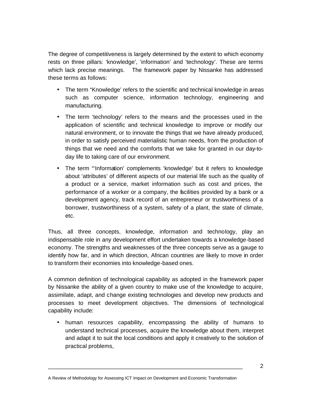The degree of competitiveness is largely determined by the extent to which economy rests on three pillars: 'knowledge', 'information' and 'technology'. These are terms which lack precise meanings. The framework paper by Nissanke has addressed these terms as follows:

- The term "Knowledge' refers to the scientific and technical knowledge in areas such as computer science, information technology, engineering and manufacturing.
- The term 'technology' refers to the means and the processes used in the application of scientific and technical knowledge to improve or modify our natural environment, or to innovate the things that we have already produced, in order to satisfy perceived materialistic human needs, from the production of things that we need and the comforts that we take for granted in our day-today life to taking care of our environment.
- The term "'Information' complements 'knowledge' but it refers to knowledge about 'attributes' of different aspects of our material life such as the quality of a product or a service, market information such as cost and prices, the performance of a worker or a company, the facilities provided by a bank or a development agency, track record of an entrepreneur or trustworthiness of a borrower, trustworthiness of a system, safety of a plant, the state of climate, etc.

Thus, all three concepts, knowledge, information and technology, play an indispensable role in any development effort undertaken towards a knowledge-based economy. The strengths and weaknesses of the three concepts serve as a gauge to identify how far, and in which direction, African countries are likely to move in order to transform their economies into knowledge-based ones.

A common definition of technological capability as adopted in the framework paper by Nissanke the ability of a given country to make use of the knowledge to acquire, assimilate, adapt, and change existing technologies and develop new products and processes to meet development objectives. The dimensions of technological capability include:

• human resources capability, encompassing the ability of humans to understand technical processes, acquire the knowledge about them, interpret and adapt it to suit the local conditions and apply it creatively to the solution of practical problems,

A Review of Methodology for Assessing ICT Impact on Development and Economic Transformation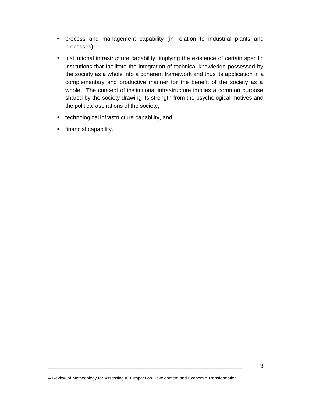- process and management capability (in relation to industrial plants and processes),
- institutional infrastructure capability, implying the existence of certain specific institutions that facilitate the integration of technical knowledge possessed by the society as a whole into a coherent framework and thus its application in a complementary and productive manner for the benefit of the society as a whole. The concept of institutional infrastructure implies a common purpose shared by the society drawing its strength from the psychological motives and the political aspirations of the society,
- technological infrastructure capability, and
- financial capability.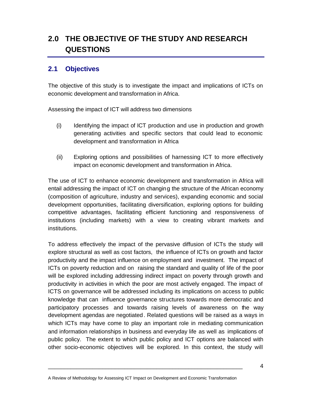# **2.0 THE OBJECTIVE OF THE STUDY AND RESEARCH QUESTIONS**

### **2.1 Objectives**

The objective of this study is to investigate the impact and implications of ICTs on economic development and transformation in Africa.

Assessing the impact of ICT will address two dimensions

- (i) Identifying the impact of ICT production and use in production and growth generating activities and specific sectors that could lead to economic development and transformation in Africa
- (ii) Exploring options and possibilities of harnessing ICT to more effectively impact on economic development and transformation in Africa.

The use of ICT to enhance economic development and transformation in Africa will entail addressing the impact of ICT on changing the structure of the African economy (composition of agriculture, industry and services), expanding economic and social development opportunities, facilitating diversification, exploring options for building competitive advantages, facilitating efficient functioning and responsiveness of institutions (including markets) with a view to creating vibrant markets and institutions.

To address effectively the impact of the pervasive diffusion of ICTs the study will explore structural as well as cost factors, the influence of ICTs on growth and factor productivity and the impact influence on employment and investment. The impact of ICTs on poverty reduction and on raising the standard and quality of life of the poor will be explored including addressing indirect impact on poverty through growth and productivity in activities in which the poor are most actively engaged. The impact of ICTS on governance will be addressed including its implications on access to public knowledge that can influence governance structures towards more democratic and participatory processes and towards raising levels of awareness on the way development agendas are negotiated. Related questions will be raised as a ways in which ICTs may have come to play an important role in mediating communication and information relationships in business and everyday life as well as implications of public policy. The extent to which public policy and ICT options are balanced with other socio-economic objectives will be explored. In this context, the study will

A Review of Methodology for Assessing ICT Impact on Development and Economic Transformation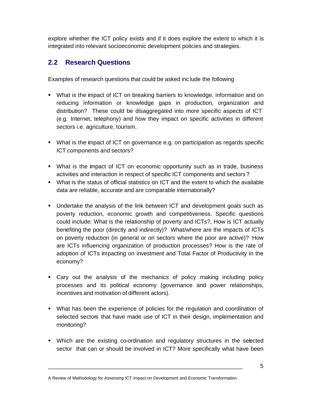explore whether the ICT policy exists and if it does explore the extent to which it is integrated into relevant socioeconomic development policies and strategies.

### **2.2 Research Questions**

Examples of research questions that could be asked inc lude the following

- What is the impact of ICT on breaking barriers to knowledge, information and on reducing information or knowledge gaps in production, organization and distribution? These could be disaggregated into more specific aspects of ICT (e.g. Internet, telephony) and how they impact on specific activities in different sectors i.e. agriculture, tourism.
- What is the impact of ICT on governance e.g. on participation as regards specific ICT components and sectors?
- What is the impact of ICT on economic opportunity such as in trade, business activities and interaction in respect of specific ICT components and sectors ?
- What is the status of official statistics on ICT and the extent to which the available data are reliable, accurate and are comparable internationally?
- Undertake the analysis of the link between ICT and development goals such as poverty reduction, economic growth and competitiveness. Specific questions could include: What is the relationship of poverty and ICTs?, How is ICT actually benefiting the poor (directly and indirectly)? What/where are the impacts of ICTs on poverty reduction (in general or on sectors where the poor are active)? How are ICTs influencing organization of production processes? How is the rate of adoption of ICTs impacting on investment and Total Factor of Productivity in the economy?
- Cary out the analysis of the mechanics of policy making including policy processes and its political economy (governance and power relationships, incentives and motivation of different actors).
- What has been the experience of policies for the regulation and coordination of selected sectors that have made use of ICT in their design, implementation and monitoring?
- Which are the existing co-ordination and regulatory structures in the selected sector that can or should be involved in ICT? More specifically what have been

A Review of Methodology for Assessing ICT Impact on Development and Economic Transformation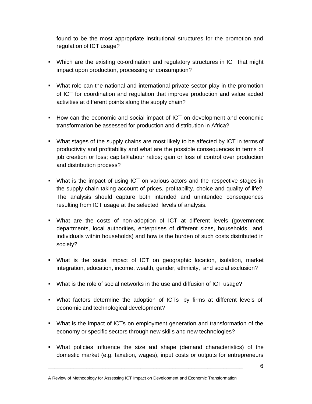found to be the most appropriate institutional structures for the promotion and regulation of ICT usage?

- Which are the existing co-ordination and regulatory structures in ICT that might impact upon production, processing or consumption?
- What role can the national and international private sector play in the promotion of ICT for coordination and regulation that improve production and value added activities at different points along the supply chain?
- How can the economic and social impact of ICT on development and economic transformation be assessed for production and distribution in Africa?
- What stages of the supply chains are most likely to be affected by ICT in terms of productivity and profitability and what are the possible consequences in terms of job creation or loss; capital/labour ratios; gain or loss of control over production and distribution process?
- What is the impact of using ICT on various actors and the respective stages in the supply chain taking account of prices, profitability, choice and quality of life? The analysis should capture both intended and unintended consequences resulting from ICT usage at the selected levels of analysis.
- What are the costs of non-adoption of ICT at different levels (government departments, local authorities, enterprises of different sizes, households and individuals within households) and how is the burden of such costs distributed in society?
- What is the social impact of ICT on geographic location, isolation, market integration, education, income, wealth, gender, ethnicity, and social exclusion?
- What is the role of social networks in the use and diffusion of ICT usage?
- What factors determine the adoption of ICTs by firms at different levels of economic and technological development?
- What is the impact of ICTs on employment generation and transformation of the economy or specific sectors through new skills and new technologies?
- ß What policies influence the size and shape (demand characteristics) of the domestic market (e.g. taxation, wages), input costs or outputs for entrepreneurs

A Review of Methodology for Assessing ICT Impact on Development and Economic Transformation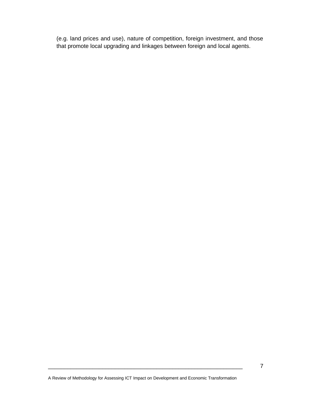(e.g. land prices and use), nature of competition, foreign investment, and those that promote local upgrading and linkages between foreign and local agents.

A Review of Methodology for Assessing ICT Impact on Development and Economic Transformation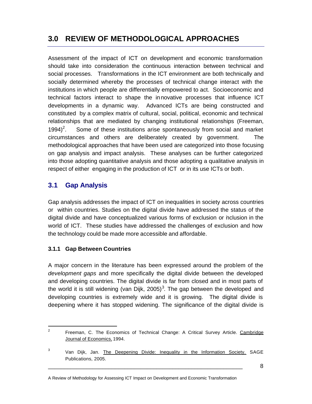# **3.0 REVIEW OF METHODOLOGICAL APPROACHES**

Assessment of the impact of ICT on development and economic transformation should take into consideration the continuous interaction between technical and social processes. Transformations in the ICT environment are both technically and socially determined whereby the processes of technical change interact with the institutions in which people are differentially empowered to act. Socioeconomic and technical factors interact to shape the innovative processes that influence ICT developments in a dynamic way. Advanced ICTs are being constructed and constituted by a complex matrix of cultural, social, political, economic and technical relationships that are mediated by changing institutional relationships (Freeman,  $1994$ <sup>2</sup>. . Some of these institutions arise spontaneously from social and market circumstances and others are deliberately created by government. The methodological approaches that have been used are categorized into those focusing on gap analysis and impact analysis. These analyses can be further categorized into those adopting quantitative analysis and those adopting a qualitative analysis in respect of either engaging in the production of ICT or in its use ICTs or both.

### **3.1 Gap Analysis**

Gap analysis addresses the impact of ICT on inequalities in society across countries or within countries. Studies on the digital divide have addressed the status of the digital divide and have conceptualized various forms of exclusion or inclusion in the world of ICT. These studies have addressed the challenges of exclusion and how the technology could be made more accessible and affordable.

#### **3.1.1 Gap Between Countries**

A major concern in the literature has been expressed around the problem of the *development gaps* and more specifically the digital divide between the developed and developing countries. The digital divide is far from closed and in most parts of the world it is still widening (van Dijk, 2005)<sup>3</sup>. The gap between the developed and developing countries is extremely wide and it is growing. The digital divide is deepening where it has stopped widening. The significance of the digital divide is

A Review of Methodology for Assessing ICT Impact on Development and Economic Transformation

 $\overline{2}$ Freeman, C. The Economics of Technical Change: A Critical Survey Article. Cambridge Journal of Economics, 1994.

<sup>3</sup> Van Dijk, Jan. The Deepening Divide: Inequality in the Information Society. SAGE Publications, 2005.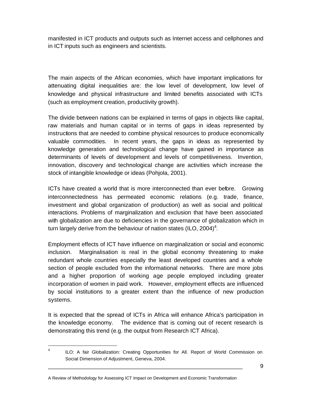manifested in ICT products and outputs such as Internet access and cellphones and in ICT inputs such as engineers and scientists.

The main aspects of the African economies, which have important implications for attenuating digital inequalities are: the low level of development, low level of knowledge and physical infrastructure and limited benefits associated with ICTs (such as employment creation, productivity growth).

The divide between nations can be explained in terms of gaps in objects like capital, raw materials and human capital or in terms of gaps in ideas represented by instructions that are needed to combine physical resources to produce economically valuable commodities. In recent years, the gaps in ideas as represented by knowledge generation and technological change have gained in importance as determinants of levels of development and levels of competitiveness. Invention, innovation, discovery and technological change are activities which increase the stock of intangible knowledge or ideas (Pohjola, 2001).

ICTs have created a world that is more interconnected than ever before. Growing interconnectedness has permeated economic relations (e.g. trade, finance, investment and global organization of production) as well as social and political interactions. Problems of marginalization and exclusion that have been associated with globalization are due to deficiencies in the governance of globalization which in turn largely derive from the behaviour of nation states (ILO, 2004)<sup>4</sup>.

Employment effects of ICT have influence on marginalization or social and economic inclusion. Marginalisation is real in the global economy threatening to make redundant whole countries especially the least developed countries and a whole section of people excluded from the informational networks. There are more jobs and a higher proportion of working age people employed including greater incorporation of women in paid work. However, employment effects are influenced by social institutions to a greater extent than the influence of new production systems.

It is expected that the spread of ICTs in Africa will enhance Africa's participation in the knowledge economy. The evidence that is coming out of recent research is demonstrating this trend (e.g. the output from Research ICT Africa).

 $\frac{1}{4}$ ILO: A fair Globalization: Creating Opportunities for All. Report of World Commission on Social Dimension of Adjustment, Geneva, 2004.

A Review of Methodology for Assessing ICT Impact on Development and Economic Transformation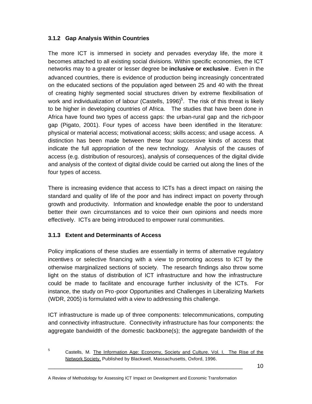#### **3.1.2 Gap Analysis Within Countries**

The more ICT is immersed in society and pervades everyday life, the more it becomes attached to all existing social divisions. Within specific economies, the ICT networks may to a greater or lesser degree be **inclusive or exclusive**. Even in the advanced countries, there is evidence of production being increasingly concentrated on the educated sections of the population aged between 25 and 40 with the threat of creating highly segmented social structures driven by extreme flexibilisation of work and individualization of labour (Castells, 1996)<sup>5</sup>. The risk of this threat is likely to be higher in developing countries of Africa. The studies that have been done in Africa have found two types of access gaps: the urban-rural gap and the rich-poor gap (Pigato, 2001). Four types of access have been identified in the literature: physical or material access; motivational access; skills access; and usage access. A distinction has been made between these four successive kinds of access that indicate the full appropriation of the new technology. Analysis of the causes of access (e.g. distribution of resources), analysis of consequences of the digital divide and analysis of the context of digital divide could be carried out along the lines of the four types of access.

There is increasing evidence that access to ICTs has a direct impact on raising the standard and quality of life of the poor and has indirect impact on poverty through growth and productivity. Information and knowledge enable the poor to understand better their own circumstances and to voice their own opinions and needs more effectively. ICTs are being introduced to empower rural communities.

#### **3.1.3 Extent and Determinants of Access**

Policy implications of these studies are essentially in terms of alternative regulatory incentives or selective financing with a view to promoting access to ICT by the otherwise marginalized sections of society. The research findings also throw some light on the status of distribution of ICT infrastructure and how the infrastructure could be made to facilitate and encourage further inclusivity of the ICTs. For instance, the study on Pro-poor Opportunities and Challenges in Liberalizing Markets (WDR, 2005) is formulated with a view to addressing this challenge.

ICT infrastructure is made up of three components: telecommunications, computing and connectivity infrastructure. Connectivity infrastructure has four components: the aggregate bandwidth of the domestic backbone(s); the aggregate bandwidth of the

10

<sup>5</sup> Castells, M. The Information Age: Economy, Society and Culture. Vol. I. The Rise of the Network Society. Published by Blackwell, Massachusetts, Oxford, 1996.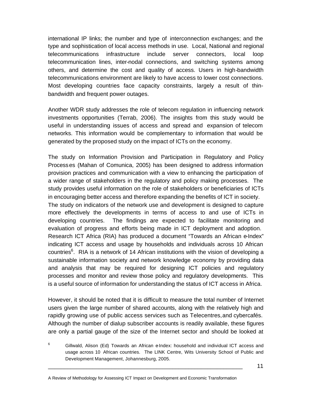international IP links; the number and type of interconnection exchanges; and the type and sophistication of local access methods in use. Local, National and regional telecommunications infrastructure include server connectors, local loop telecommunication lines, inter-nodal connections, and switching systems among others, and determine the cost and quality of access. Users in high-bandwidth telecommunications environment are likely to have access to lower cost connections. Most developing countries face capacity constraints, largely a result of thinbandwidth and frequent power outages.

Another WDR study addresses the role of telecom regulation in influencing network investments opportunities (Terrab, 2006). The insights from this study would be useful in understanding issues of access and spread and expansion of telecom networks. This information would be complementary to information that would be generated by the proposed study on the impact of ICTs on the economy.

The study on Information Provision and Participation in Regulatory and Policy Processes (Mahan of Comunica, 2005) has been designed to address information provision practices and communication with a view to enhancing the participation of a wider range of stakeholders in the regulatory and policy making processes. The study provides useful information on the role of stakeholders or beneficiaries of ICTs in encouraging better access and therefore expanding the benefits of ICT in society. The study on indicators of the network use and development is designed to capture more effectively the developments in terms of access to and use of ICTs in developing countries. The findings are expected to facilitate monitoring and evaluation of progress and efforts being made in ICT deployment and adoption. Research ICT Africa (RIA) has produced a document "Towards an African e-Index" indicating ICT access and usage by households and individuals across 10 African countries $6$ . RIA is a network of 14 African institutions with the vision of developing a sustainable information society and network knowledge economy by providing data and analysis that may be required for designing ICT policies and regulatory processes and monitor and review those policy and regulatory developments. This is a useful source of information for understanding the status of ICT access in Africa.

However, it should be noted that it is difficult to measure the total number of Internet users given the large number of shared accounts, along with the relatively high and rapidly growing use of public access services such as Telecentres, and cybercafés. Although the number of dialup subscriber accounts is readily available, these figures are only a partial gauge of the size of the Internet sector and should be looked at

 $6$  Gillwald, Alison (Ed) Towards an African e-Index: household and individual ICT access and usage across 10 African countries. The LINK Centre, Wits University School of Public and Development Management, Johannesburg, 2005.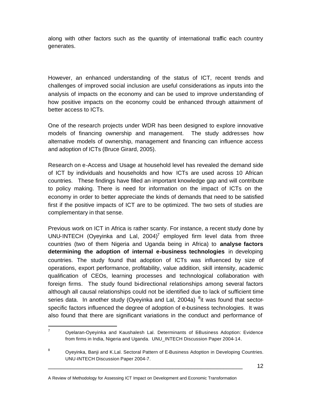along with other factors such as the quantity of international traffic each country generates.

However, an enhanced understanding of the status of ICT, recent trends and challenges of improved social inclusion are useful considerations as inputs into the analysis of impacts on the economy and can be used to improve understanding of how positive impacts on the economy could be enhanced through attainment of better access to ICTs.

One of the research projects under WDR has been designed to explore innovative models of financing ownership and management. The study addresses how alternative models of ownership, management and financing can influence access and adoption of ICTs (Bruce Girard, 2005).

Research on e-Access and Usage at household level has revealed the demand side of ICT by individuals and households and how ICTs are used across 10 African countries. These findings have filled an important knowledge gap and will contribute to policy making. There is need for information on the impact of ICTs on the economy in order to better appreciate the kinds of demands that need to be satisfied first if the positive impacts of ICT are to be optimized. The two sets of studies are complementary in that sense.

Previous work on ICT in Africa is rather scanty. For instance, a recent study done by UNU-INTECH (Oyeyinka and Lal, 2004)<sup>7</sup> employed firm level data from three countries (two of them Nigeria and Uganda being in Africa) to **analyse factors determining the adoption of internal e-business technologies** in developing countries. The study found that adoption of ICTs was influenced by size of operations, export performance, profitability, value addition, skill intensity, academic qualification of CEOs, learning processes and technological collaboration with foreign firms. The study found bi-directional relationships among several factors although all causal relationships could not be identified due to lack of sufficient time series data. In another study (Oyeyinka and Lal, 2004a) <sup>8</sup>it was found that sectorspecific factors influenced the degree of adoption of e-business technologies. It was also found that there are significant variations in the conduct and performance of

 $\overline{z}$ Oyelaran-Oyeyinka and Kaushalesh Lal. Determinants of EBusiness Adoption: Evidence from firms in India, Nigeria and Uganda. UNU\_INTECH Discussion Paper 2004-14.

<sup>8</sup> Oyeyinka, Banji and K.Lal. Sectoral Pattern of E-Business Adoption in Developing Countries. UNU-INTECH Discussion Paper 2004-7.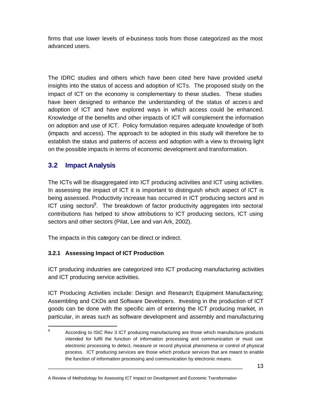firms that use lower levels of e-business tools from those categorized as the most advanced users.

The IDRC studies and others which have been cited here have provided useful insights into the status of access and adoption of ICTs. The proposed study on the impact of ICT on the economy is complementary to these studies. These studies have been designed to enhance the understanding of the status of access and adoption of ICT and have explored ways in which access could be enhanced. Knowledge of the benefits and other impacts of ICT will complement the information on adoption and use of ICT. Policy formulation requires adequate knowledge of both (impacts and access). The approach to be adopted in this study will therefore be to establish the status and patterns of access and adoption with a view to throwing light on the possible impacts in terms of economic development and transformation.

### **3.2 Impact Analysis**

The ICTs will be disaggregated into ICT producing activities and ICT using activities. In assessing the impact of ICT it is important to distinguish which aspect of ICT is being assessed. Productivity increase has occurred in ICT producing sectors and in ICT using sectors<sup>9</sup>. The breakdown of factor productivity aggregates into sectoral contributions has helped to show attributions to ICT producing sectors, ICT using sectors and other sectors (Pilat, Lee and van Ark, 2002).

The impacts in this category can be direct or indirect.

#### **3.2.1 Assessing Impact of ICT Production**

ICT producing industries are categorized into ICT producing manufacturing activities and ICT producing service activities.

ICT Producing Activities include: Design and Research; Equipment Manufacturing; Assembling and CKDs and Software Developers. Investing in the production of ICT goods can be done with the specific aim of entering the ICT producing market, in particular, in areas such as software development and assembly and manufacturing

 $\mathbf{q}$ <sup>9</sup> According to ISIC Rev 3 ICT producing manufacturing are those which manufacture products intended for fulfil the function of information processing and communication or must use electronic processing to detect, measure or record physical phenomena or control of physical process. ICT producing services are those which produce services that are meant to enable the function of information processing and communication by electronic means.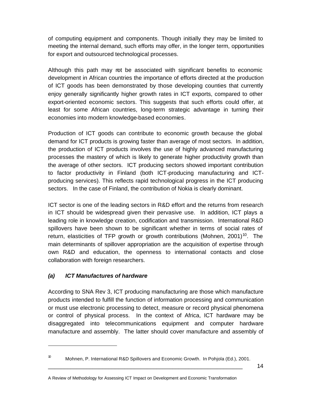of computing equipment and components. Though initially they may be limited to meeting the internal demand, such efforts may offer, in the longer term, opportunities for export and outsourced technological processes.

Although this path may not be associated with significant benefits to economic development in African countries the importance of efforts directed at the production of ICT goods has been demonstrated by those developing counties that currently enjoy generally significantly higher growth rates in ICT exports, compared to other export-oriented economic sectors. This suggests that such efforts could offer, at least for some African countries, long-term strategic advantage in turning their economies into modern knowledge-based economies.

Production of ICT goods can contribute to economic growth because the global demand for ICT products is growing faster than average of most sectors. In addition, the production of ICT products involves the use of highly advanced manufacturing processes the mastery of which is likely to generate higher productivity growth than the average of other sectors. ICT producing sectors showed important contribution to factor productivity in Finland (both ICT-producing manufacturing and ICTproducing services). This reflects rapid technological progress in the ICT producing sectors. In the case of Finland, the contribution of Nokia is clearly dominant.

ICT sector is one of the leading sectors in R&D effort and the returns from research in ICT should be widespread given their pervasive use. In addition, ICT plays a leading role in knowledge creation, codification and transmission. International R&D spillovers have been shown to be significant whether in terms of social rates of return, elasticities of TFP growth or growth contributions (Mohnen, 2001)<sup>10</sup>. The main determinants of spillover appropriation are the acquisition of expertise through own R&D and education, the openness to international contacts and close collaboration with foreign researchers.

#### *(a) ICT Manufactures of hardware*

 $\overline{a}$ 

According to SNA Rev 3, ICT producing manufacturing are those which manufacture products intended to fulfill the function of information processing and communication or must use electronic processing to detect, measure or record physical phenomena or control of physical process. In the context of Africa, ICT hardware may be disaggregated into telecommunications equipment and computer hardware manufacture and assembly. The latter should cover manufacture and assembly of

<sup>&</sup>lt;sup>10</sup> Mohnen, P. International R&D Spillovers and Economic Growth. In Pohjola (Ed.), 2001.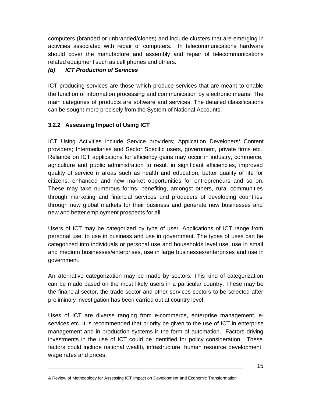computers (branded or unbranded/clones) and include clusters that are emerging in activities associated with repair of computers. In telecommunications hardware should cover the manufacture and assembly and repair of telecommunications related equipment such as cell phones and others.

#### *(b) ICT Production of Services*

ICT producing services are those which produce services that are meant to enable the function of information processing and communication by electronic means. The main categories of products are software and services. The detailed classifications can be sought more precisely from the System of National Accounts.

#### **3.2.2 Assessing Impact of Using ICT**

ICT Using Activities include Service providers; Application Developers/ Content providers; Intermediaries and Sector Specific users, government, private firms etc. Reliance on ICT applications for efficiency gains may occur in industry, commerce, agriculture and public administration to result in significant efficiencies, improved quality of service in areas such as health and education, better quality of life for citizens, enhanced and new market opportunities for entrepreneurs and so on. These may take numerous forms, benefiting, amongst others, rural communities through marketing and financial services and producers of developing countries through new global markets for their business and generate new businesses and new and better employment prospects for all.

Users of ICT may be categorized by type of user. Applications of ICT range from personal use, to use in business and use in government. The types of uses can be categorized into individuals or personal use and households level use, use in small and medium businesses/enterprises, use in large businesses/enterprises and use in government.

An alternative categorization may be made by sectors. This kind of categorization can be made based on the most likely users in a particular country. These may be the financial sector, the trade sector and other services sectors to be selected after preliminary investigation has been carried out at country level.

Uses of ICT are diverse ranging from e-commerce, enterprise management, eservices etc. It is recommended that priority be given to the use of ICT in enterprise management and in production systems in the form of automation. Factors driving investments in the use of ICT could be identified for policy consideration. These factors could include national wealth, infrastructure, human resource development, wage rates and prices.

A Review of Methodology for Assessing ICT Impact on Development and Economic Transformation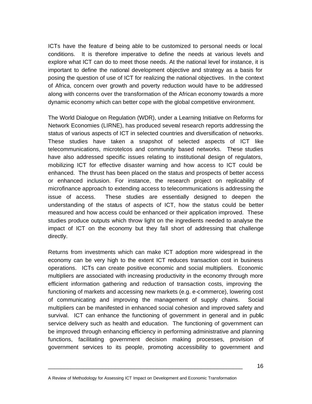ICTs have the feature of being able to be customized to personal needs or local conditions. It is therefore imperative to define the needs at various levels and explore what ICT can do to meet those needs. At the national level for instance, it is important to define the national development objective and strategy as a basis for posing the question of use of ICT for realizing the national objectives. In the context of Africa, concern over growth and poverty reduction would have to be addressed along with concerns over the transformation of the African economy towards a more dynamic economy which can better cope with the global competitive environment.

The World Dialogue on Regulation (WDR), under a Learning Initiative on Reforms for Network Economies (LIRNE), has produced several research reports addressing the status of various aspects of ICT in selected countries and diversification of networks. These studies have taken a snapshot of selected aspects of ICT like telecommunications, microtelcos and community based networks. These studies have also addressed specific issues relating to institutional design of regulators, mobilizing ICT for effective disaster warning and how access to ICT could be enhanced. The thrust has been placed on the status and prospects of better access or enhanced inclusion. For instance, the research project on replicability of microfinance approach to extending access to telecommunications is addressing the issue of access. These studies are essentially designed to deepen the understanding of the status of aspects of ICT, how the status could be better measured and how access could be enhanced or their application improved. These studies produce outputs which throw light on the ingredients needed to analyse the impact of ICT on the economy but they fall short of addressing that challenge directly.

Returns from investments which can make ICT adoption more widespread in the economy can be very high to the extent ICT reduces transaction cost in business operations. ICTs can create positive economic and social multipliers. Economic multipliers are associated with increasing productivity in the economy through more efficient information gathering and reduction of transaction costs, improving the functioning of markets and accessing new markets (e.g. e-commerce), lowering cost of communicating and improving the management of supply chains. Social multipliers can be manifested in enhanced social cohesion and improved safety and survival. ICT can enhance the functioning of government in general and in public service delivery such as health and education. The functioning of government can be improved through enhancing efficiency in performing administrative and planning functions, facilitating government decision making processes, provision of government services to its people, promoting accessibility to government and

A Review of Methodology for Assessing ICT Impact on Development and Economic Transformation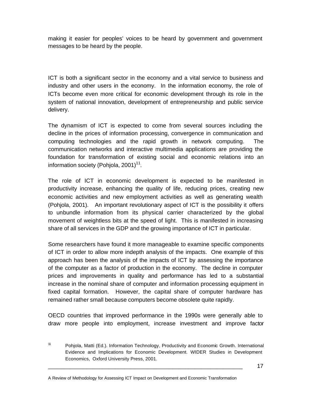making it easier for peoples' voices to be heard by government and government messages to be heard by the people.

ICT is both a significant sector in the economy and a vital service to business and industry and other users in the economy. In the information economy, the role of ICTs become even more critical for economic development through its role in the system of national innovation, development of entrepreneurship and public service delivery.

The dynamism of ICT is expected to come from several sources including the decline in the prices of information processing, convergence in communication and computing technologies and the rapid growth in network computing. The communication networks and interactive multimedia applications are providing the foundation for transformation of existing social and economic relations into an information society (Pohjola, 2001) $11$ .

The role of ICT in economic development is expected to be manifested in productivity increase, enhancing the quality of life, reducing prices, creating new economic activities and new employment activities as well as generating wealth (Pohjola, 2001). An important revolutionary aspect of ICT is the possibility it offers to unbundle information from its physical carrier characterized by the global movement of weightless bits at the speed of light. This is manifested in increasing share of all services in the GDP and the growing importance of ICT in particular.

Some researchers have found it more manageable to examine specific components of ICT in order to allow more indepth analysis of the impacts. One example of this approach has been the analysis of the impacts of ICT by assessing the importance of the computer as a factor of production in the economy. The decline in computer prices and improvements in quality and performance has led to a substantial increase in the nominal share of computer and information processing equipment in fixed capital formation. However, the capital share of computer hardware has remained rather small because computers become obsolete quite rapidly.

OECD countries that improved performance in the 1990s were generally able to draw more people into employment, increase investment and improve factor

<sup>11</sup> Pohjola, Matti (Ed.). Information Technology, Productivity and Economic Growth. International Evidence and Implications for Economic Development. WIDER Studies in Development Economics, Oxford University Press, 2001.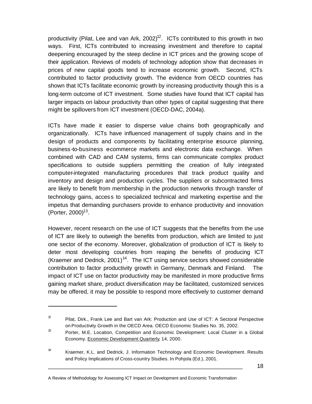productivity (Pilat, Lee and van Ark, 2002)<sup>12</sup>. ICTs contributed to this growth in two ways. First, ICTs contributed to increasing investment and therefore to capital deepening encouraged by the steep decline in ICT prices and the growing scope of their application. Reviews of models of technology adoption show that decreases in prices of new capital goods tend to increase economic growth. Second, ICTs contributed to factor productivity growth. The evidence from OECD countries has shown that ICTs facilitate economic growth by increasing productivity though this is a long-term outcome of ICT investment. Some studies have found that ICT capital has larger impacts on labour productivity than other types of capital suggesting that there might be spillovers from ICT investment (OECD-DAC, 2004a).

ICTs have made it easier to disperse value chains both geographically and organizationally. ICTs have influenced management of supply chains and in the design of products and components by facilitating enterprise resource planning, business-to-business ecommerce markets and electronic data exchange. When combined with CAD and CAM systems, firms can communicate complex product specifications to outside suppliers permitting the creation of fully integrated computer-integrated manufacturing procedures that track product quality and inventory and design and production cycles. The suppliers or subcontracted firms are likely to benefit from membership in the production networks through transfer of technology gains, acces s to specialized technical and marketing expertise and the impetus that demanding purchasers provide to enhance productivity and innovation (Porter, 2000) $^{13}$ .

However, recent research on the use of ICT suggests that the benefits from the use of ICT are likely to outweigh the benefits from production, which are limited to just one sector of the economy. Moreover, globalization of production of ICT is likely to deter most developing countries from reaping the benefits of producing ICT (Kraemer and Dedrick, 2001)<sup>14</sup>. The ICT using service sectors showed considerable contribution to factor productivity growth in Germany, Denmark and Finland. The impact of ICT use on factor productivity may be manifested in more productive firms gaining market share, product diversification may be facilitated, customized services may be offered, it may be possible to respond more effectively to customer demand

\_\_\_\_\_\_\_\_\_\_\_\_\_\_\_\_\_\_\_\_\_\_\_\_\_\_\_\_\_\_\_\_\_\_\_\_\_\_\_\_\_\_\_\_\_\_\_\_\_\_\_\_\_\_\_\_\_\_\_\_\_

 $\overline{a}$ 

 $12$  Pilat, Dirk., Frank Lee and Bart van Ark: Production and Use of ICT: A Sectoral Perspective on Productivity Growth in the OECD Area. OECD Economic Studies No. 35, 2002.

<sup>&</sup>lt;sup>13</sup> Porter, M.E. Location, Competition and Economic Development: Local Cluster in a Global Economy. Economic Development Quarterly, 14, 2000.

<sup>&</sup>lt;sup>14</sup> Kraemer, K.L. and Dedrick, J. Information Technology and Economic Development. Results and Policy Implications of Cross-country Studies. In Pohjola (Ed.), 2001.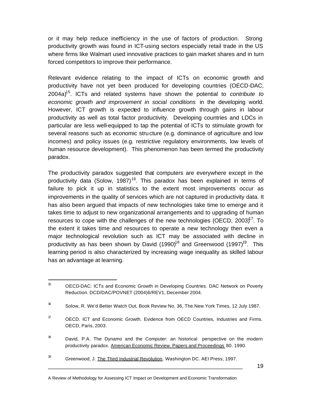or it may help reduce inefficiency in the use of factors of production. Strong productivity growth was found in ICT-using sectors especially retail trade in the US where firms like Walmart used innovative practices to gain market shares and in turn forced competitors to improve their performance.

Relevant evidence relating to the impact of ICTs on economic growth and productivity have not yet been produced for developing countries (OECD-DAC, 2004a)<sup>15</sup>. ICTs and related systems have shown the potential to *contribute to economic growth and improvement in social conditions* in the developing world. However, ICT growth is expected to influence growth through gains in labour productivity as well as total factor productivity. Developing countries and LDCs in particular are less well-equipped to tap the potential of ICTs to stimulate growth for several reasons such as economic structure (e.g. dominance of agriculture and low incomes) and policy issues (e.g. restrictive regulatory environments, low levels of human resource development). This phenomenon has been termed the productivity paradox.

The productivity paradox suggested that computers are everywhere except in the productivity data (Solow, 1987)<sup>16</sup>. This paradox has been explained in terms of failure to pick it up in statistics to the extent most improvements occur as improvements in the quality of services which are not captured in productivity data. It has also been argued that impacts of new technologies take time to emerge and it takes time to adjust to new organizational arrangements and to upgrading of human resources to cope with the challenges of the new technologies (OECD,  $2003$ <sup>17</sup>. To the extent it takes time and resources to operate a new technology then even a major technological revolution such as ICT may be associated with decline in productivity as has been shown by David (1990)<sup>18</sup> and Greenwood (1997)<sup>19</sup>. This learning period is also characterized by increasing wage inequality as skilled labour has an advantage at learning.

 $15$ <sup>15</sup> OECD-DAC: ICTs and Economic Growth in Developing Countries. DAC Network on Poverty Reduction. DCD/DAC/POVNET (2004)6/REV1, December 2004.

<sup>&</sup>lt;sup>16</sup> Solow, R. We'd Better Watch Out, Book Review No. 36, The New York Times, 12 July 1987.

 $17$  OECD. ICT and Economic Growth. Evidence from OECD Countries, Industries and Firms. OECD, Paris, 2003.

<sup>&</sup>lt;sup>18</sup> David, P.A. The Dynamo and the Computer: an historical perspective on the modern productivity paradox. American Economic Review. Papers and Proceedings 80. 1990.

<sup>&</sup>lt;sup>19</sup> Greenwood, J. The Third Industrial Revolution. Washington DC. AEI Press, 1997.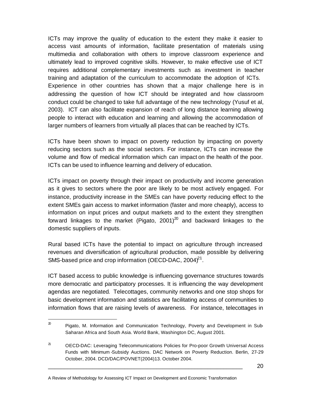ICTs may improve the quality of education to the extent they make it easier to access vast amounts of information, facilitate presentation of materials using multimedia and collaboration with others to improve classroom experience and ultimately lead to improved cognitive skills. However, to make effective use of ICT requires additional complementary investments such as investment in teacher training and adaptation of the curriculum to accommodate the adoption of ICTs. Experience in other countries has shown that a major challenge here is in addressing the question of how ICT should be integrated and how classroom conduct could be changed to take full advantage of the new technology (Yusuf et al, 2003). ICT can also facilitate expansion of reach of long distance learning allowing people to interact with education and learning and allowing the accommodation of larger numbers of learners from virtually all places that can be reached by ICTs.

ICTs have been shown to impact on poverty reduction by impacting on poverty reducing sectors such as the social sectors. For instance, ICTs can increase the volume and flow of medical information which can impact on the health of the poor. ICTs can be used to influence learning and delivery of education.

ICTs impact on poverty through their impact on productivity and income generation as it gives to sectors where the poor are likely to be most actively engaged. For instance, productivity increase in the SMEs can have poverty reducing effect to the extent SMEs gain access to market information (faster and more cheaply), access to information on input prices and output markets and to the extent they strengthen forward linkages to the market (Pigato,  $2001$ )<sup>20</sup> and backward linkages to the domestic suppliers of inputs.

Rural based ICTs have the potential to impact on agriculture through increased revenues and diversification of agricultural production, made possible by delivering SMS-based price and crop information (OECD-DAC, 2004) $^{21}$ .

ICT based access to public knowledge is influencing governance structures towards more democratic and participatory processes. It is influencing the way development agendas are negotiated. Telecottages, community networks and one stop shops for basic development information and statistics are facilitating access of communities to information flows that are raising levels of awareness. For instance, telecottages in

 $\boldsymbol{x}$ Pigato, M. Information and Communication Technology, Poverty and Development in Sub-Saharan Africa and South Asia. World Bank, Washington DC, August 2001.

<sup>&</sup>lt;sup>21</sup> OECD-DAC: Leveraging Telecommunications Policies for Pro-poor Growth Universal Access Funds with Minimum -Subsidy Auctions. DAC Network on Poverty Reduction. Berlin, 27-29 October, 2004. DCD/DAC/POVNET(2004)13. October 2004.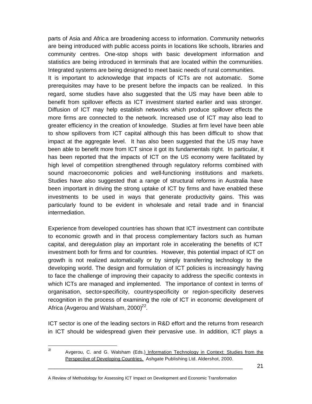parts of Asia and Africa are broadening access to information. Community networks are being introduced with public access points in locations like schools, libraries and community centres. One-stop shops with basic development information and statistics are being introduced in terminals that are located within the communities. Integrated systems are being designed to meet basic needs of rural communities.

It is important to acknowledge that impacts of ICTs are not automatic. Some prerequisites may have to be present before the impacts can be realized. In this regard, some studies have also suggested that the US may have been able to benefit from spillover effects as ICT investment started earlier and was stronger. Diffusion of ICT may help establish networks which produce spillover effects the more firms are connected to the network. Increased use of ICT may also lead to greater efficiency in the creation of knowledge. Studies at firm level have been able to show spillovers from ICT capital although this has been difficult to show that impact at the aggregate level. It has also been suggested that the US may have been able to benefit more from ICT since it got its fundamentals right. In particular, it has been reported that the impacts of ICT on the US economy were facilitated by high level of competition strengthened through regulatory reforms combined with sound macroeconomic policies and well-functioning institutions and markets. Studies have also suggested that a range of structural reforms in Australia have been important in driving the strong uptake of ICT by firms and have enabled these investments to be used in ways that generate productivity gains. This was particularly found to be evident in wholesale and retail trade and in financial intermediation.

Experience from developed countries has shown that ICT investment can contribute to economic growth and in that process complementary factors such as human capital, and deregulation play an important role in accelerating the benefits of ICT investment both for firms and for countries. However, this potential impact of ICT on growth is not realized automatically or by simply transferring technology to the developing world. The design and formulation of ICT policies is increasingly having to face the challenge of improving their capacity to address the specific contexts in which ICTs are managed and implemented. The importance of context in terms of organisation, sector-specificity, country-specificity or region-specificity deserves recognition in the process of examining the role of ICT in economic development of Africa (Avgerou and Walsham, 2000) $^{22}$ .

ICT sector is one of the leading sectors in R&D effort and the returns from research in ICT should be widespread given their pervasive use. In addition, ICT plays a

 $\mathfrak{D}$ Avgerou, C. and G. Walsham (Eds.) Information Technology in Context: Studies from the Perspective of Developing Countries. Ashgate Publishing Ltd. Aldershot, 2000.

A Review of Methodology for Assessing ICT Impact on Development and Economic Transformation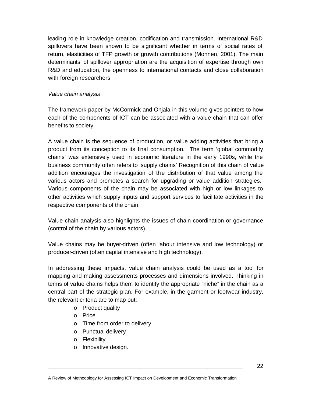leading role in knowledge creation, codification and transmission. International R&D spillovers have been shown to be significant whether in terms of social rates of return, elasticities of TFP growth or growth contributions (Mohnen, 2001). The main determinants of spillover appropriation are the acquisition of expertise through own R&D and education, the openness to international contacts and close collaboration with foreign researchers.

#### *Value chain analysis*

The framework paper by McCormick and Onjala in this volume gives pointers to how each of the components of ICT can be associated with a value chain that can offer benefits to society.

A value chain is the sequence of production, or value adding activities that bring a product from its conception to its final consumption. The term 'global commodity chains' was extensively used in economic literature in the early 1990s, while the business community often refers to 'supply chains' Recognition of this chain of value addition encourages the investigation of the distribution of that value among the various actors and promotes a search for upgrading or value addition strategies. Various components of the chain may be associated with high or low linkages to other activities which supply inputs and support services to facilitate activities in the respective components of the chain.

Value chain analysis also highlights the issues of chain coordination or governance (control of the chain by various actors).

Value chains may be buyer-driven (often labour intensive and low technology) or producer-driven (often capital intensive and high technology).

In addressing these impacts, value chain analysis could be used as a tool for mapping and making assessments processes and dimensions involved. Thinking in terms of value chains helps them to identify the appropriate "niche" in the chain as a central part of the strategic plan. For example, in the garment or footwear industry, the relevant criteria are to map out:

- o Product quality
- o Price
- o Time from order to delivery
- o Punctual delivery
- o Flexibility
- o Innovative design.

A Review of Methodology for Assessing ICT Impact on Development and Economic Transformation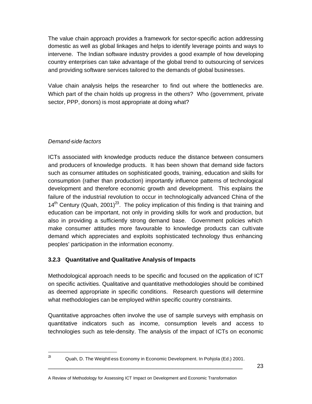The value chain approach provides a framework for sector-specific action addressing domestic as well as global linkages and helps to identify leverage points and ways to intervene. The Indian software industry provides a good example of how developing country enterprises can take advantage of the global trend to outsourcing of services and providing software services tailored to the demands of global businesses.

Value chain analysis helps the researcher to find out where the bottlenecks are. Which part of the chain holds up progress in the others? Who (government, private sector, PPP, donors) is most appropriate at doing what?

#### *Demand-side factors*

ICTs associated with knowledge products reduce the distance between consumers and producers of knowledge products. It has been shown that demand side factors such as consumer attitudes on sophisticated goods, training, education and skills for consumption (rather than production) importantly influence patterns of technological development and therefore economic growth and development. This explains the failure of the industrial revolution to occur in technologically advanced China of the  $14<sup>th</sup>$  Century (Quah, 2001)<sup>23</sup>. The policy implication of this finding is that training and education can be important, not only in providing skills for work and production, but also in providing a sufficiently strong demand base. Government policies which make consumer attitudes more favourable to knowledge products can cultivate demand which appreciates and exploits sophisticated technology thus enhancing peoples' participation in the information economy.

#### **3.2.3 Quantitative and Qualitative Analysis of Impacts**

Methodological approach needs to be specific and focused on the application of ICT on specific activities. Qualitative and quantitative methodologies should be combined as deemed appropriate in specific conditions. Research questions will determine what methodologies can be employed within specific country constraints.

Quantitative approaches often involve the use of sample surveys with emphasis on quantitative indicators such as income, consumption levels and access to technologies such as tele-density. The analysis of the impact of ICTs on economic

 $\overline{a}$ 

<sup>&</sup>lt;sup>23</sup> Quah, D. The Weightl ess Economy in Economic Development. In Pohjola (Ed.) 2001.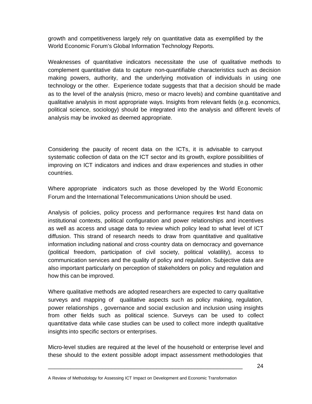growth and competitiveness largely rely on quantitative data as exemplified by the World Economic Forum's Global Information Technology Reports.

Weaknesses of quantitative indicators necessitate the use of qualitative methods to complement quantitative data to capture non-quantifiable characteristics such as decision making powers, authority, and the underlying motivation of individuals in using one technology or the other. Experience todate suggests that that a decision should be made as to the level of the analysis (micro, meso or macro levels) and combine quantitative and qualitative analysis in most appropriate ways. Insights from relevant fields (e.g. economics, political science, sociology) should be integrated into the analysis and different levels of analysis may be invoked as deemed appropriate.

Considering the paucity of recent data on the ICTs, it is advisable to carryout systematic collection of data on the ICT sector and its growth, explore possibilities of improving on ICT indicators and indices and draw experiences and studies in other countries.

Where appropriate indicators such as those developed by the World Economic Forum and the International Telecommunications Union should be used.

Analysis of policies, policy process and performance requires first hand data on institutional contexts, political configuration and power relationships and incentives as well as access and usage data to review which policy lead to what level of ICT diffusion. This strand of research needs to draw from quantitative and qualitative information including national and cross -country data on democracy and governance (political freedom, participation of civil society, political volatility), access to communication services and the quality of policy and regulation. Subjective data are also important particularly on perception of stakeholders on policy and regulation and how this can be improved.

Where qualitative methods are adopted researchers are expected to carry qualitative surveys and mapping of qualitative aspects such as policy making, regulation, power relationships , governance and social exclusion and inclusion using insights from other fields such as political science. Surveys can be used to collect quantitative data while case studies can be used to collect more indepth qualitative insights into specific sectors or enterprises.

Micro-level studies are required at the level of the household or enterprise level and these should to the extent possible adopt impact assessment methodologies that

A Review of Methodology for Assessing ICT Impact on Development and Economic Transformation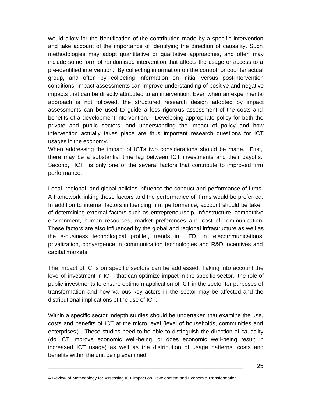would allow for the identification of the contribution made by a specific intervention and take account of the importance of identifying the direction of causality. Such methodologies may adopt quantitative or qualitative approaches, and often may include some form of randomised intervention that affects the usage or access to a pre-identified intervention. By collecting information on the control, or counterfactual group, and often by collecting information on initial versus postintervention conditions, impact assessments can improve understanding of positive and negative impacts that can be directly attributed to an intervention. Even when an experimental approach is not followed, the structured research design adopted by impact assessments can be used to guide a less rigorous assessment of the costs and benefits of a development intervention. Developing appropriate policy for both the private and public sectors, and understanding the impact of policy and how intervention actually takes place are thus important research questions for ICT usages in the economy.

When addressing the impact of ICTs two considerations should be made. First, there may be a substantial time lag between ICT investments and their payoffs. Second, ICT is only one of the several factors that contribute to improved firm performance.

Local, regional, and global policies influence the conduct and performance of firms. A framework linking these factors and the performance of firms would be preferred. In addition to internal factors influencing firm performance, account should be taken of determining external factors such as entrepreneurship, infrastructure, competitive environment, human resources, market preferences and cost of communication. These factors are also influenced by the global and regional infrastructure as well as the e-business technological profile., trends in FDI in telecommunications, privatization, convergence in communication technologies and R&D incentives and capital markets.

The impact of ICTs on specific sectors can be addressed. Taking into account the level of investment in ICT that can optimize impact in the specific sector, the role of public investments to ensure optimum application of ICT in the sector for purposes of transformation and how various key actors in the sector may be affected and the distributional implications of the use of ICT.

Within a specific sector indepth studies should be undertaken that examine the use, costs and benefits of ICT at the micro level (level of households, communities and enterprises ). These studies need to be able to distinguish the direction of causality (do ICT improve economic well-being, or does economic well-being result in increased ICT usage) as well as the distribution of usage patterns, costs and benefits within the unit being examined.

A Review of Methodology for Assessing ICT Impact on Development and Economic Transformation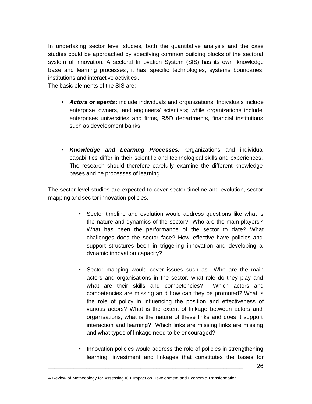In undertaking sector level studies, both the quantitative analysis and the case studies could be approached by specifying common building blocks of the sectoral system of innovation. A sectoral Innovation System (SIS) has its own knowledge base and learning processes , it has specific technologies, systems boundaries, institutions and interactive activities .

The basic elements of the SIS are:

- *Actors or agents*: include individuals and organizations. Individuals include enterprise owners, and engineers/ scientists; while organizations include enterprises universities and firms, R&D departments, financial institutions such as development banks.
- *Knowledge and Learning Processes:* Organizations and individual capabilities differ in their scientific and technological skills and experiences. The research should therefore carefully examine the different knowledge bases and he processes of learning.

The sector level studies are expected to cover sector timeline and evolution, sector mapping and sec tor innovation policies.

- Sector timeline and evolution would address questions like what is the nature and dynamics of the sector? Who are the main players? What has been the performance of the sector to date? What challenges does the sector face? How effective have policies and support structures been in triggering innovation and developing a dynamic innovation capacity?
- Sector mapping would cover issues such as Who are the main actors and organisations in the sector, what role do they play and what are their skills and competencies? Which actors and competencies are missing an d how can they be promoted? What is the role of policy in influencing the position and effectiveness of various actors? What is the extent of linkage between actors and organisations, what is the nature of these links and does it support interaction and learning? Which links are missing links are missing and what types of linkage need to be encouraged?
- Innovation policies would address the role of policies in strengthening learning, investment and linkages that constitutes the bases for

A Review of Methodology for Assessing ICT Impact on Development and Economic Transformation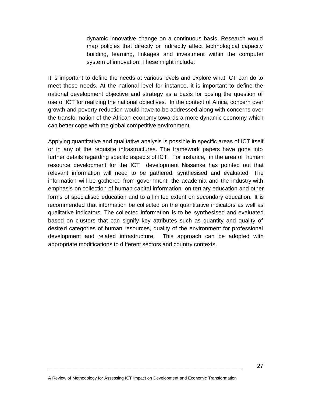dynamic innovative change on a continuous basis. Research would map policies that directly or indirectly affect technological capacity building, learning, linkages and investment within the computer system of innovation. These might include:

It is important to define the needs at various levels and explore what ICT can do to meet those needs. At the national level for instance, it is important to define the national development objective and strategy as a basis for posing the question of use of ICT for realizing the national objectives. In the context of Africa, concern over growth and poverty reduction would have to be addressed along with concerns over the transformation of the African economy towards a more dynamic economy which can better cope with the global competitive environment.

Applying quantitative and qualitative analysis is possible in specific areas of ICT itself or in any of the requisite infrastructures. The framework papers have gone into further details regarding specifc aspects of ICT. For instance, in the area of human resource development for the ICT development Nissanke has pointed out that relevant information will need to be gathered, synthesised and evaluated. The information will be gathered from government, the academia and the industry with emphasis on collection of human capital information on tertiary education and other forms of specialised education and to a limited extent on secondary education. It is recommended that information be collected on the quantitative indicators as well as qualitative indicators. The collected information is to be synthesised and evaluated based on clusters that can signify key attributes such as quantity and quality of desired categories of human resources, quality of the environment for professional development and related infrastructure. This approach can be adopted with appropriate modifications to different sectors and country contexts.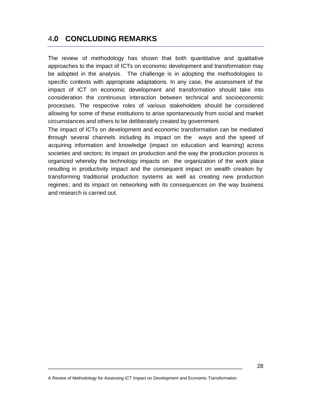# 4**.0 CONCLUDING REMARKS**

The review of methodology has shown that both quantitative and qualitative approaches to the impact of ICTs on economic development and transformation may be adopted in the analysis. The challenge is in adopting the methodologies to specific contexts with appropriate adaptations. In any case, the assessment of the impact of ICT on economic development and transformation should take into consideration the continuous interaction between technical and socioeconomic processes. The respective roles of various stakeholders should be considered allowing for some of these institutions to arise spontaneously from social and market circumstances and others to be deliberately created by government.

The impact of ICTs on development and economic transformation can be mediated through several channels including its impact on the ways and the speed of acquiring information and knowledge (impact on education and learning) across societies and sectors; its impact on production and the way the production process is organized whereby the technology impacts on the organization of the work place resulting in productivity impact and the consequent impact on wealth creation by transforming traditional production systems as well as creating new production regimes; and its impact on networking with its consequences on the way business and research is carried out.